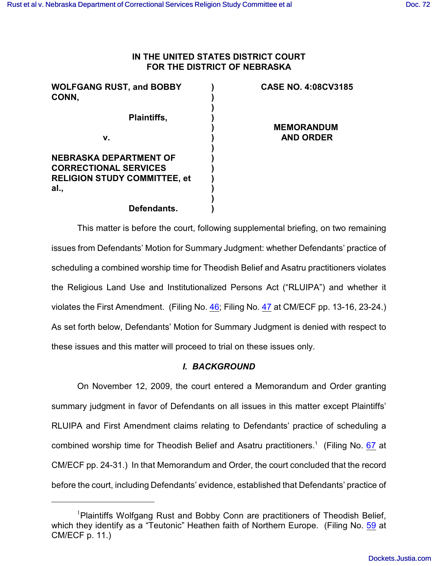## **IN THE UNITED STATES DISTRICT COURT FOR THE DISTRICT OF NEBRASKA**

| <b>WOLFGANG RUST, and BOBBY</b><br>CONN, | <b>CASE NO. 4:08CV3185</b> |
|------------------------------------------|----------------------------|
| <b>Plaintiffs,</b>                       |                            |
|                                          | <b>MEMORANDUM</b>          |
| v.                                       | <b>AND ORDER</b>           |
| <b>NEBRASKA DEPARTMENT OF</b>            |                            |
| <b>CORRECTIONAL SERVICES</b>             |                            |
| <b>RELIGION STUDY COMMITTEE, et</b>      |                            |
| al.,                                     |                            |
|                                          |                            |
| Defendants.                              |                            |

This matter is before the court, following supplemental briefing, on two remaining issues from Defendants' Motion for Summary Judgment: whether Defendants' practice of scheduling a combined worship time for Theodish Belief and Asatru practitioners violates the Religious Land Use and Institutionalized Persons Act ("RLUIPA") and whether it violates the First Amendment. (Filing No. [46](https://ecf.ned.uscourts.gov/doc1/11311762571); Filing No. [47](https://ecf.ned.uscourts.gov/doc1/11311762684) at CM/ECF pp. 13-16, 23-24.) As set forth below, Defendants' Motion for Summary Judgment is denied with respect to these issues and this matter will proceed to trial on these issues only.

## *I. BACKGROUND*

On November 12, 2009, the court entered a Memorandum and Order granting summary judgment in favor of Defendants on all issues in this matter except Plaintiffs' RLUIPA and First Amendment claims relating to Defendants' practice of scheduling a combined worship time for Theodish Belief and Asatru practitioners.<sup>1</sup> (Filing No. [67](https://ecf.ned.uscourts.gov/doc1/11311877074) at CM/ECF pp. 24-31.) In that Memorandum and Order, the court concluded that the record before the court, including Defendants' evidence, established that Defendants' practice of

Plaintiffs Wolfgang Rust and Bobby Conn are practitioners of Theodish Belief, <sup>1</sup> which they identify as a "Teutonic" Heathen faith of Northern Europe. (Filing No. [59](http://ecf.ned.uscourts.gov/doc1/11301771758) at CM/ECF p. 11.)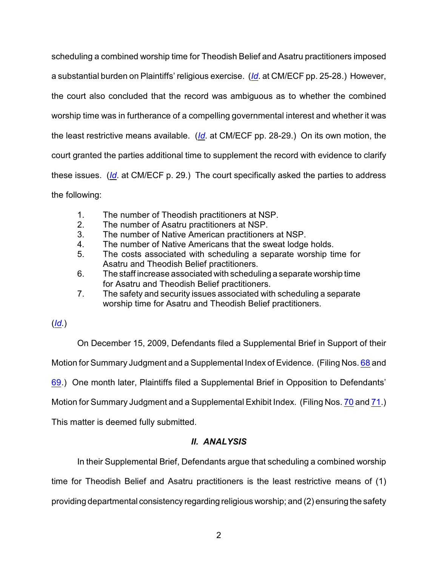scheduling a combined worship time for Theodish Belief and Asatru practitioners imposed a substantial burden on Plaintiffs' religious exercise. (*[Id](https://ecf.ned.uscourts.gov/doc1/11311877074)*. at CM/ECF pp. 25-28.) However, the court also concluded that the record was ambiguous as to whether the combined worship time was in furtherance of a compelling governmental interest and whether it was the least restrictive means available. (*[Id](https://ecf.ned.uscourts.gov/doc1/11311877074)*. at CM/ECF pp. 28-29.) On its own motion, the court granted the parties additional time to supplement the record with evidence to clarify these issues. (*[Id](https://ecf.ned.uscourts.gov/doc1/11311877074)*. at CM/ECF p. 29.) The court specifically asked the parties to address the following:

- 1. The number of Theodish practitioners at NSP.
- 2. The number of Asatru practitioners at NSP.
- 3. The number of Native American practitioners at NSP.
- 4. The number of Native Americans that the sweat lodge holds.
- 5. The costs associated with scheduling a separate worship time for Asatru and Theodish Belief practitioners.
- 6. The staff increase associated with scheduling a separate worship time for Asatru and Theodish Belief practitioners.
- 7. The safety and security issues associated with scheduling a separate worship time for Asatru and Theodish Belief practitioners.

(*[Id](https://ecf.ned.uscourts.gov/doc1/11311877074)*.)

On December 15, 2009, Defendants filed a Supplemental Brief in Support of their Motion for Summary Judgment and a Supplemental Index of Evidence. (Filing Nos. [68](https://ecf.ned.uscourts.gov/doc1/11311905382) and [69](https://ecf.ned.uscourts.gov/doc1/11301905388).) One month later, Plaintiffs filed a Supplemental Brief in Opposition to Defendants' Motion for Summary Judgment and a Supplemental Exhibit Index. (Filing Nos. [70](https://ecf.ned.uscourts.gov/doc1/11311929885) and [71](https://ecf.ned.uscourts.gov/doc1/11311930826).) This matter is deemed fully submitted.

## *II. ANALYSIS*

In their Supplemental Brief, Defendants argue that scheduling a combined worship

time for Theodish Belief and Asatru practitioners is the least restrictive means of (1)

providing departmental consistency regarding religious worship; and (2) ensuring the safety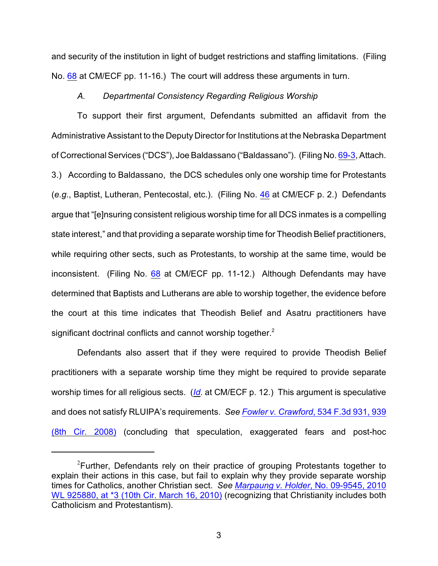and security of the institution in light of budget restrictions and staffing limitations. (Filing No. [68](https://ecf.ned.uscourts.gov/doc1/11311905382) at CM/ECF pp. 11-16.) The court will address these arguments in turn.

#### *A. Departmental Consistency Regarding Religious Worship*

To support their first argument, Defendants submitted an affidavit from the Administrative Assistant to the Deputy Director for Institutions at the Nebraska Department of Correctional Services ("DCS"), Joe Baldassano ("Baldassano"). (Filing No. [69-3](https://ecf.ned.uscourts.gov/doc1/11311905391), Attach. 3.) According to Baldassano, the DCS schedules only one worship time for Protestants (*e.g*., Baptist, Lutheran, Pentecostal, etc.). (Filing No. [46](https://ecf.ned.uscourts.gov/doc1/11311762571) at CM/ECF p. 2.) Defendants argue that "[e]nsuring consistent religious worship time for all DCS inmates is a compelling state interest," and that providing a separate worship time for Theodish Belief practitioners, while requiring other sects, such as Protestants, to worship at the same time, would be inconsistent. (Filing No. [68](https://ecf.ned.uscourts.gov/doc1/11311905382) at CM/ECF pp. 11-12.) Although Defendants may have determined that Baptists and Lutherans are able to worship together, the evidence before the court at this time indicates that Theodish Belief and Asatru practitioners have significant doctrinal conflicts and cannot worship together.<sup>2</sup>

Defendants also assert that if they were required to provide Theodish Belief practitioners with a separate worship time they might be required to provide separate worship times for all religious sects. (*[Id](https://ecf.ned.uscourts.gov/doc1/11311905382)*. at CM/ECF p. 12.) This argument is speculative and does not satisfy RLUIPA's requirements. *See Fowler v. Crawford*[, 534 F.3d 931, 939](http://web2.westlaw.com/find/default.wl?rs=WLW10.03&ifm=NotSet&fn=_top&sv=Split&cite=534+F.3d+939&vr=2.0&rp=%2ffind%2fdefault.wl&mt=26) [\(8th Cir. 2008\)](http://web2.westlaw.com/find/default.wl?rs=WLW10.03&ifm=NotSet&fn=_top&sv=Split&cite=534+F.3d+939&vr=2.0&rp=%2ffind%2fdefault.wl&mt=26) (concluding that speculation, exaggerated fears and post-hoc

<sup>&</sup>lt;sup>2</sup> Further, Defendants rely on their practice of grouping Protestants together to explain their actions in this case, but fail to explain why they provide separate worship times for Catholics, another Christian sect. *See Marpaung v. Holder*[, No. 09-9545, 2010](http://web2.westlaw.com/result/default.wl?cfid=1&mt=26&origin=Search&sri=139&sskey=CLID_SSSA124320121484&query=%22CHRISTIANITY%22+%2fS+%22CATHOLICISM%22&db=ALLFEDS&rlt=CLID_QRYRLT959790121484&method=TNC&service=Search&eq=Welcome%2f26&rp=%2fWelcome%2f26%2) WL 925880, [at \\*3 \(10th Cir. March 16, 2010\)](http://web2.westlaw.com/result/default.wl?cfid=1&mt=26&origin=Search&sri=139&sskey=CLID_SSSA124320121484&query=%22CHRISTIANITY%22+%2fS+%22CATHOLICISM%22&db=ALLFEDS&rlt=CLID_QRYRLT959790121484&method=TNC&service=Search&eq=Welcome%2f26&rp=%2fWelcome%2f26%2) (recognizing that Christianity includes both Catholicism and Protestantism).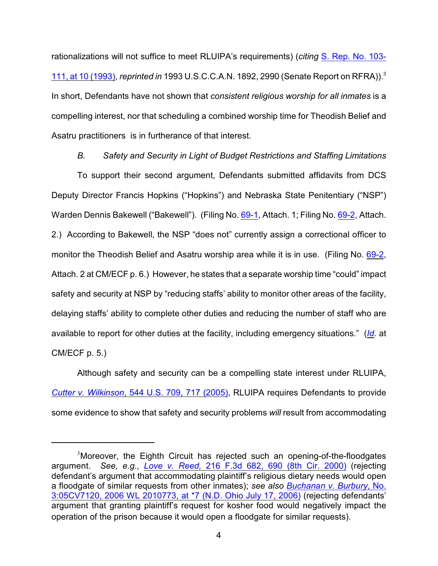rationalizations will not suffice to meet RLUIPA's requirements) (*citing* [S. Rep. No. 103-](http://web2.westlaw.com/find/default.wl?tf=-1&rs=WLW10.03&serialnum=0103026320&fn=_top&sv=Split&tc=-1&pbc=AA88679A&ordoc=2016612282&findtype=Y&db=0001503&vr=2.0&rp=%2ffind%2fdefault.wl&mt=26&RLT=CLID_FQRLT943550171184&TF=756&TC=1&n=1) [111, at 10 \(1993\)](http://web2.westlaw.com/find/default.wl?tf=-1&rs=WLW10.03&serialnum=0103026320&fn=_top&sv=Split&tc=-1&pbc=AA88679A&ordoc=2016612282&findtype=Y&db=0001503&vr=2.0&rp=%2ffind%2fdefault.wl&mt=26&RLT=CLID_FQRLT943550171184&TF=756&TC=1&n=1), *reprinted in* 1993 U.S.C.C.A.N. 1892, 2990 (Senate Report on RFRA)).<sup>3</sup> In short, Defendants have not shown that *consistent religious worship for all inmates* is a compelling interest, nor that scheduling a combined worship time for Theodish Belief and Asatru practitioners is in furtherance of that interest.

*B. Safety and Security in Light of Budget Restrictions and Staffing Limitations*

To support their second argument, Defendants submitted affidavits from DCS Deputy Director Francis Hopkins ("Hopkins") and Nebraska State Penitentiary ("NSP") Warden Dennis Bakewell ("Bakewell"). (Filing No. [69-1](https://ecf.ned.uscourts.gov/doc1/11311905389), Attach. 1; Filing No. [69-2](https://ecf.ned.uscourts.gov/doc1/11311905390), Attach. 2.) According to Bakewell, the NSP "does not" currently assign a correctional officer to monitor the Theodish Belief and Asatru worship area while it is in use. (Filing No. [69-2](https://ecf.ned.uscourts.gov/doc1/11311905390), Attach. 2 at CM/ECF p. 6.) However, he states that a separate worship time "could" impact safety and security at NSP by "reducing staffs' ability to monitor other areas of the facility, delaying staffs' ability to complete other duties and reducing the number of staff who are available to report for other duties at the facility, including emergency situations." (*[Id](https://ecf.ned.uscourts.gov/doc1/11311905390)*. at CM/ECF p. 5.)

Although safety and security can be a compelling state interest under RLUIPA, *Cutter v. Wilkinson*[, 544 U.S. 709, 717 \(2005\)](http://web2.westlaw.com/find/default.wl?rs=WLW10.03&ifm=NotSet&fn=_top&sv=Split&cite=544+U.S.+717&vr=2.0&rp=%2ffind%2fdefault.wl&mt=26), RLUIPA requires Defendants to provide some evidence to show that safety and security problems *will* result from accommodating

<sup>&</sup>lt;sup>3</sup>Moreover, the Eighth Circuit has rejected such an opening-of-the-floodgates argument. *See, e.g., Love v. Reed,* [216 F.3d 682, 690 \(8th Cir. 2000\)](http://web2.westlaw.com/find/default.wl?rs=WLW10.03&ifm=NotSet&fn=_top&sv=Split&cite=216+F.3d+690&vr=2.0&rp=%2ffind%2fdefault.wl&mt=26) (rejecting defendant's argument that accommodating plaintiff's religious dietary needs would open a floodgate of similar requests from other inmates); *see also [Buchanan v. Burbury](http://web2.westlaw.com/find/default.wl?rs=WLW10.03&ifm=NotSet&fn=_top&sv=Split&cite=2006+WL+2010773&vr=2.0&rp=%2ffind%2fdefault.wl&mt=26)*, No. [3:05CV7120, 2006 WL 2010773, at \\*7 \(N.D. Ohio July 17, 2006\)](http://web2.westlaw.com/find/default.wl?rs=WLW10.03&ifm=NotSet&fn=_top&sv=Split&cite=2006+WL+2010773&vr=2.0&rp=%2ffind%2fdefault.wl&mt=26) (rejecting defendants' argument that granting plaintiff's request for kosher food would negatively impact the operation of the prison because it would open a floodgate for similar requests).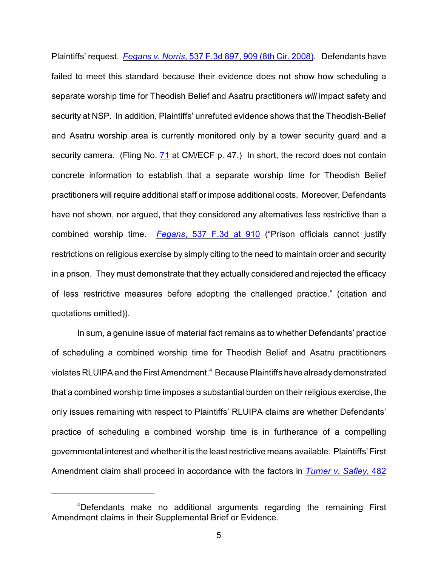Plaintiffs' request. *Fegans v. Norris*[, 537 F.3d 897, 909 \(8th Cir. 2008\)](http://web2.westlaw.com/find/default.wl?rs=WLW10.03&ifm=NotSet&fn=_top&sv=Split&cite=537+F.3d+909&vr=2.0&rp=%2ffind%2fdefault.wl&mt=26). Defendants have failed to meet this standard because their evidence does not show how scheduling a separate worship time for Theodish Belief and Asatru practitioners *will* impact safety and security at NSP. In addition, Plaintiffs' unrefuted evidence shows that the Theodish-Belief and Asatru worship area is currently monitored only by a tower security guard and a security camera. (Fling No. [71](https://ecf.ned.uscourts.gov/doc1/11311930826) at CM/ECF p. 47.) In short, the record does not contain concrete information to establish that a separate worship time for Theodish Belief practitioners will require additional staff or impose additional costs. Moreover, Defendants have not shown, nor argued, that they considered any alternatives less restrictive than a combined worship time. *Fegans*[, 537 F.3d at 910](http://web2.westlaw.com/find/default.wl?rs=WLW10.03&ifm=NotSet&fn=_top&sv=Split&cite=537+F.3d+909&vr=2.0&rp=%2ffind%2fdefault.wl&mt=26) ("Prison officials cannot justify restrictions on religious exercise by simply citing to the need to maintain order and security in a prison. They must demonstrate that they actually considered and rejected the efficacy of less restrictive measures before adopting the challenged practice." (citation and quotations omitted)).

In sum, a genuine issue of material fact remains as to whether Defendants' practice of scheduling a combined worship time for Theodish Belief and Asatru practitioners violates RLUIPA and the First Amendment.<sup>4</sup> Because Plaintiffs have already demonstrated that a combined worship time imposes a substantial burden on their religious exercise, the only issues remaining with respect to Plaintiffs' RLUIPA claims are whether Defendants' practice of scheduling a combined worship time is in furtherance of a compelling governmental interest and whether it is the least restrictive means available. Plaintiffs' First Amendment claim shall proceed in accordance with the factors in *[Turner v. Safley](http://web2.westlaw.com/find/default.wl?rs=WLW10.03&ifm=NotSet&fn=_top&sv=Split&cite=482+U.S.+78&vr=2.0&rp=%2ffind%2fdefault.wl&mt=26)*, 482

 $4$ Defendants make no additional arguments regarding the remaining First Amendment claims in their Supplemental Brief or Evidence.